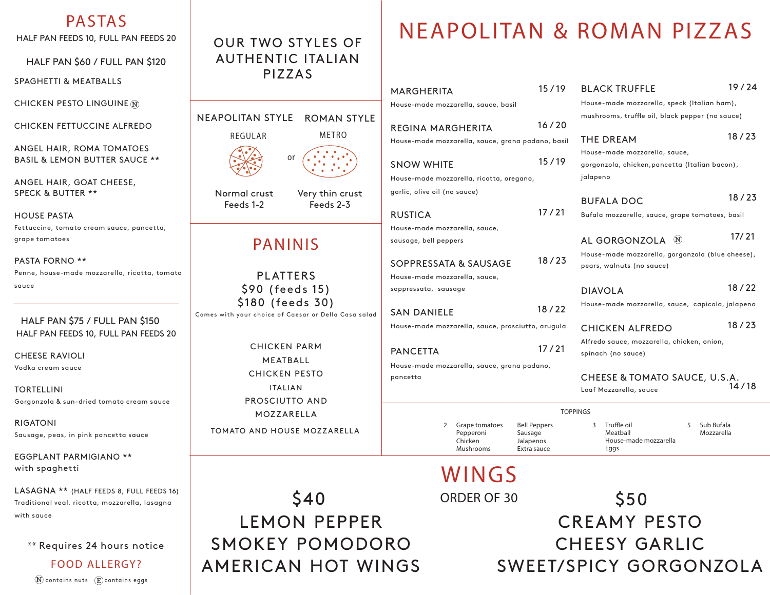### **PASTAS**

HALF PAN FEEDS 10, FULL PAN FEEDS 20

HALF PAN \$60 / FULL PAN \$120

SPAGHETTI & MEATBALLS

CHICKEN PESTO LINGUINE N

CHICKEN FETTUCCINE ALFREDO

ANGEL HAIR, ROMA TOMATOES BASIL & LEMON BUTTER SAUCE \*\*

ANGEL HAIR, GOAT CHEESE, SPECK & BUTTER \*\*

HOUSE PASTA Fettuccine, tomato cream sauce, pancetta, grape tomatoes

PASTA FORNO \*\* Penne, house-made mozzarella, ricotta, tomato sauce

#### HALF PAN \$75 / FULL PAN \$150 HALF PAN FEEDS 10, FULL PAN FEEDS 20

CHEESE RAVIOLI Vodka cream sauce

TORTELLINI Gorgonzola & sun-dried tomato cream sauce

RIGATONI Sausage, peas, in pink pancetta sauce

EGGPLANT PARMIGIANO \*\* with spaghetti

LASAGNA \*\* (HALF FEEDS 8, FULL FEEDS 16) Traditional veal, ricotta, mozzarella, lasagna with sauce

\*\* Requires 24 hours notice

**FOOD ALLERGY?**  $\widehat{N}$  contains nuts  $\widehat{E}$  contains eggs

## OUR TWO STYLES OF AUTHENTIC ITALIAN PIZZAS

|                                 | Hou:            |
|---------------------------------|-----------------|
| NEAPOLITAN STYLE ROMAN STYLE    | RE <sub>C</sub> |
| METRO<br>REGULAR                | Hou:            |
| or                              |                 |
|                                 | <b>SN</b>       |
|                                 | Hou:            |
| Normal crust<br>Very thin crust | garli           |
| Feeds 2-3<br>Feeds 1-2          |                 |
|                                 | RU.             |
|                                 | Hou:            |
| <b>PANINIS</b>                  | saus            |
|                                 | SOI             |
| <b>PLATTERS</b>                 | Hou:            |
| \$90 (feeds 15)                 | sopp            |
| \$180 (feeds 30)                |                 |

Comes with your choice of Caesar or Della Casa salad

CHICKEN PARM MEATBALL CHICKEN PESTO ITALIAN PROSCIUTTO AND MOZZARELLA TOMATO AND HOUSE MOZZARELLA

LEMON PEPPER

SMOKEY POMODORO

AMERICAN HOT WINGS

**NEAPOLITAN & ROMAN PIZZAS**

| <b>MARGHERITA</b>                                 | 15/19                | <b>BLACK TRUFFLE</b>                             | 19/24      |
|---------------------------------------------------|----------------------|--------------------------------------------------|------------|
| House-made mozzarella, sauce, basil               |                      | House-made mozzarella, speck (Italian ham),      |            |
|                                                   |                      | mushrooms, truffle oil, black pepper (no sauce)  |            |
| <b>REGINA MARGHERITA</b>                          | 16/20                |                                                  |            |
| House-made mozzarella, sauce, grana padano, basil |                      | THE DREAM                                        | 18/23      |
|                                                   |                      | House-made mozzarella, sauce,                    |            |
| <b>SNOW WHITE</b>                                 | 15/19                | gorgonzola, chicken, pancetta (Italian bacon),   |            |
| House-made mozzarella, ricotta, oregano,          |                      | jalapeno                                         |            |
| garlic, olive oil (no sauce)                      |                      |                                                  | 18/23      |
|                                                   |                      | <b>BUFALA DOC</b>                                |            |
| <b>RUSTICA</b>                                    | 17/21                | Bufala mozzarella, sauce, grape tomatoes, basil  |            |
| House-made mozzarella, sauce,                     |                      |                                                  | 17/21      |
| sausage, bell peppers                             |                      | AL GORGONZOLA <sup>(N)</sup>                     |            |
| 18/23                                             |                      | House-made mozzarella, gorgonzola (blue cheese), |            |
| SOPPRESSATA & SAUSAGE                             |                      | pears, walnuts (no sauce)                        |            |
| House-made mozzarella, sauce,                     |                      |                                                  | 18/22      |
| soppressata, sausage                              |                      | <b>DIAVOLA</b>                                   |            |
| <b>SAN DANIELE</b>                                | 18/22                | House-made mozzarella, sauce, capicola, jalapeno |            |
| House-made mozzarella, sauce, prosciutto, arugula |                      | <b>CHICKEN ALFREDO</b>                           | 18/23      |
|                                                   |                      | Alfredo sauce, mozzarella, chicken, onion,       |            |
| <b>PANCETTA</b>                                   | 17/21                | spinach (no sauce)                               |            |
| House-made mozzarella, sauce, grana padano,       |                      |                                                  |            |
| pancetta                                          |                      | CHEESE & TOMATO SAUCE, U.S.A.                    |            |
|                                                   |                      | Loaf Mozzarella, sauce                           | 14/18      |
|                                                   |                      | <b>TOPPINGS</b>                                  |            |
| $\overline{2}$<br>Grape tomatoes                  | <b>Bell Peppers</b>  | Truffle oil<br>3<br>5                            | Sub Bufala |
| Pepperoni<br>Chicken                              | Sausage<br>Jalapenos | Meatball<br>House-made mozzarella                | Mozzarella |
| Mushrooms                                         | Extra sauce          | Eggs                                             |            |

**WINGS**

*ORDER OF 30* \$40 \$50 CREAMY PESTO CHEESY GARLIC SWEET/SPICY GORGONZOLA